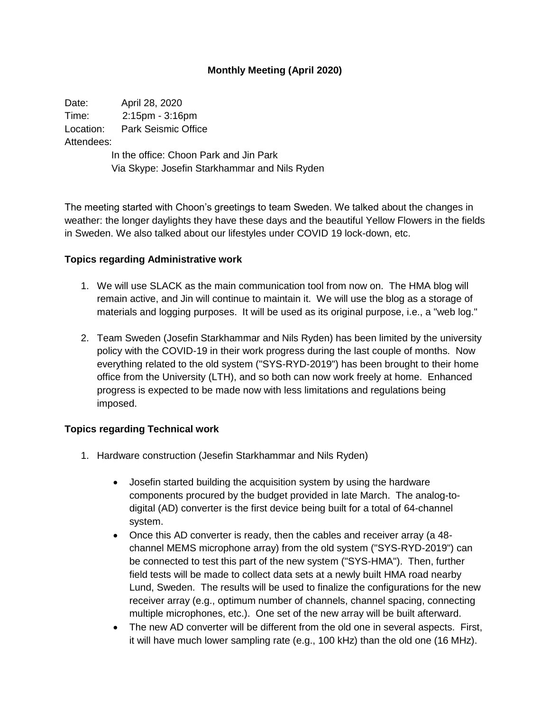# **Monthly Meeting (April 2020)**

Date: April 28, 2020 Time: 2:15pm - 3:16pm Location: Park Seismic Office Attendees: In the office: Choon Park and Jin Park

Via Skype: Josefin Starkhammar and Nils Ryden

The meeting started with Choon's greetings to team Sweden. We talked about the changes in weather: the longer daylights they have these days and the beautiful Yellow Flowers in the fields in Sweden. We also talked about our lifestyles under COVID 19 lock-down, etc.

#### **Topics regarding Administrative work**

- 1. We will use SLACK as the main communication tool from now on. The HMA blog will remain active, and Jin will continue to maintain it. We will use the blog as a storage of materials and logging purposes. It will be used as its original purpose, i.e., a "web log."
- 2. Team Sweden (Josefin Starkhammar and Nils Ryden) has been limited by the university policy with the COVID-19 in their work progress during the last couple of months. Now everything related to the old system ("SYS-RYD-2019") has been brought to their home office from the University (LTH), and so both can now work freely at home. Enhanced progress is expected to be made now with less limitations and regulations being imposed.

### **Topics regarding Technical work**

- 1. Hardware construction (Jesefin Starkhammar and Nils Ryden)
	- Josefin started building the acquisition system by using the hardware components procured by the budget provided in late March. The analog-todigital (AD) converter is the first device being built for a total of 64-channel system.
	- Once this AD converter is ready, then the cables and receiver array (a 48 channel MEMS microphone array) from the old system ("SYS-RYD-2019") can be connected to test this part of the new system ("SYS-HMA"). Then, further field tests will be made to collect data sets at a newly built HMA road nearby Lund, Sweden. The results will be used to finalize the configurations for the new receiver array (e.g., optimum number of channels, channel spacing, connecting multiple microphones, etc.). One set of the new array will be built afterward.
	- The new AD converter will be different from the old one in several aspects. First, it will have much lower sampling rate (e.g., 100 kHz) than the old one (16 MHz).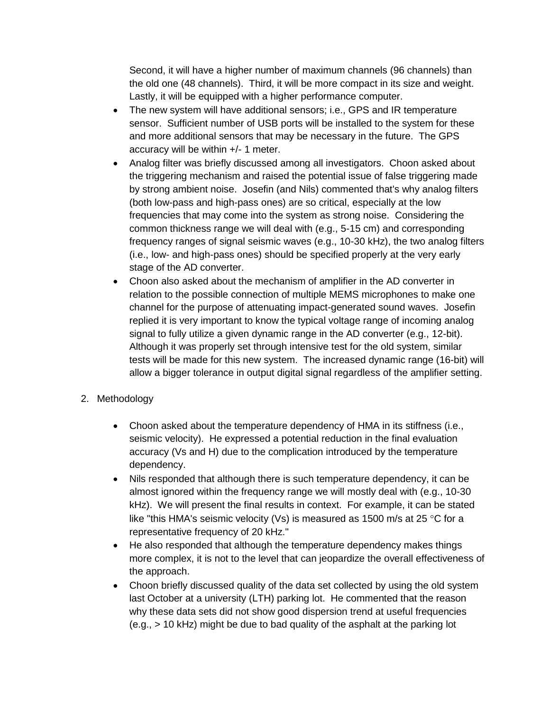Second, it will have a higher number of maximum channels (96 channels) than the old one (48 channels). Third, it will be more compact in its size and weight. Lastly, it will be equipped with a higher performance computer.

- The new system will have additional sensors; i.e., GPS and IR temperature sensor. Sufficient number of USB ports will be installed to the system for these and more additional sensors that may be necessary in the future. The GPS accuracy will be within +/- 1 meter.
- Analog filter was briefly discussed among all investigators. Choon asked about the triggering mechanism and raised the potential issue of false triggering made by strong ambient noise. Josefin (and Nils) commented that's why analog filters (both low-pass and high-pass ones) are so critical, especially at the low frequencies that may come into the system as strong noise. Considering the common thickness range we will deal with (e.g., 5-15 cm) and corresponding frequency ranges of signal seismic waves (e.g., 10-30 kHz), the two analog filters (i.e., low- and high-pass ones) should be specified properly at the very early stage of the AD converter.
- Choon also asked about the mechanism of amplifier in the AD converter in relation to the possible connection of multiple MEMS microphones to make one channel for the purpose of attenuating impact-generated sound waves. Josefin replied it is very important to know the typical voltage range of incoming analog signal to fully utilize a given dynamic range in the AD converter (e.g., 12-bit). Although it was properly set through intensive test for the old system, similar tests will be made for this new system. The increased dynamic range (16-bit) will allow a bigger tolerance in output digital signal regardless of the amplifier setting.

# 2. Methodology

- Choon asked about the temperature dependency of HMA in its stiffness (i.e., seismic velocity). He expressed a potential reduction in the final evaluation accuracy (Vs and H) due to the complication introduced by the temperature dependency.
- Nils responded that although there is such temperature dependency, it can be almost ignored within the frequency range we will mostly deal with (e.g., 10-30 kHz). We will present the final results in context. For example, it can be stated like "this HMA's seismic velocity (Vs) is measured as 1500 m/s at 25  $\degree$ C for a representative frequency of 20 kHz."
- He also responded that although the temperature dependency makes things more complex, it is not to the level that can jeopardize the overall effectiveness of the approach.
- Choon briefly discussed quality of the data set collected by using the old system last October at a university (LTH) parking lot. He commented that the reason why these data sets did not show good dispersion trend at useful frequencies (e.g., > 10 kHz) might be due to bad quality of the asphalt at the parking lot